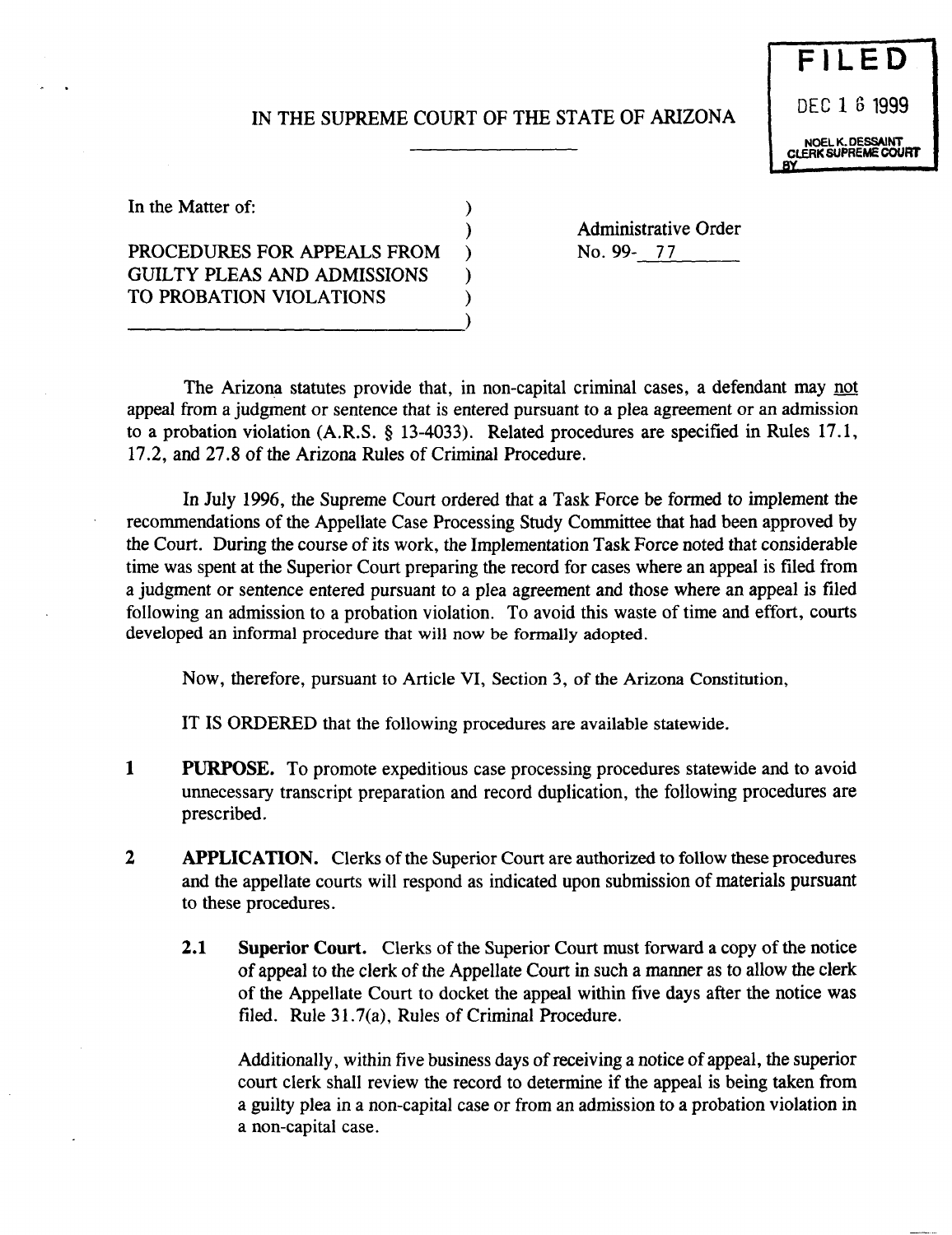## IN THE SUPREME COURT OF THE STATE OF ARIZONA

)



In the Matter of:  $\qquad \qquad$  )

PROCEDURES FOR APPEALS FROM ) GUILTY PLEAS AND ADMISSIONS TO PROBATION VIOLATIONS

---------------------------)

Administrative Order No. 99- 77

The Arizona statutes provide that, in non-capital criminal cases, a defendant may not appeal from a judgment or sentence that is entered pursuant to a plea agreement or an admission to a probation violation (A.R.S. § 13-4033). Related procedures are specified in Rules 17.1, 17.2, and 27.8 of the Arizona Rules of Criminal Procedure.

In July 1996, the Supreme Court ordered that a Task Force be formed to implement the recommendations of the Appellate Case Processing Study Committee that had been approved by the Court. During the course of its work, the Implementation Task Force noted that considerable time was spent at the Superior Court preparing the record for cases where an appeal is filed from a judgment or sentence entered pursuant to a plea agreement and those where an appeal is filed following an admission to a probation violation. To avoid this waste of time and effort, courts developed an informal procedure that will now be formally adopted.

Now, therefore, pursuant to Article VI, Section 3, of the Arizona Constitution,

IT IS ORDERED that the following procedures are available statewide.

- 1 PURPOSE. To promote expeditious case processing procedures statewide and to avoid unnecessary transcript preparation and record duplication, the following procedures are prescribed.
- 2 APPLICATION. Clerks of the Superior Court are authorized to follow these procedures and the appellate courts will respond as indicated upon submission of materials pursuant to these procedures.
	- 2.1 Superior Court. Clerks of the Superior Court must forward a copy of the notice of appeal to the clerk of the Appellate Court in such a manner as to allow the clerk of the Appellate Court to docket the appeal within five days after the notice was filed. Rule 31.7(a), Rules of Criminal Procedure.

Additionally, within five business days of receiving a notice of appeal, the superior court clerk shall review the record to determine if the appeal is being taken from a guilty plea in a non-capital case or from an admission to a probation violation in a non-capital case.